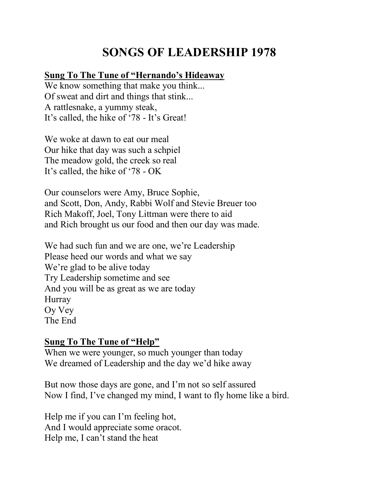## **SONGS OF LEADERSHIP 1978**

## **Sung To The Tune of "Hernando's Hideaway**

We know something that make you think... Of sweat and dirt and things that stink... A rattlesnake, a yummy steak, It's called, the hike of '78 - It's Great!

We woke at dawn to eat our meal Our hike that day was such a schpiel The meadow gold, the creek so real It's called, the hike of '78 - OK

Our counselors were Amy, Bruce Sophie, and Scott, Don, Andy, Rabbi Wolf and Stevie Breuer too Rich Makoff, Joel, Tony Littman were there to aid and Rich brought us our food and then our day was made.

We had such fun and we are one, we're Leadership Please heed our words and what we say We're glad to be alive today Try Leadership sometime and see And you will be as great as we are today Hurray Oy Vey The End

## **Sung To The Tune of "Help"**

When we were younger, so much younger than today We dreamed of Leadership and the day we'd hike away

But now those days are gone, and I'm not so self assured Now I find, I've changed my mind, I want to fly home like a bird.

Help me if you can I'm feeling hot, And I would appreciate some oracot. Help me, I can't stand the heat